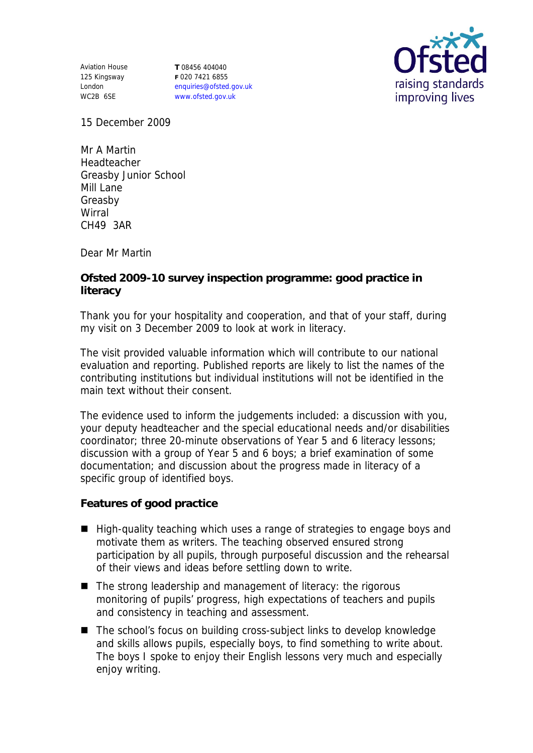Aviation House 125 Kingsway London WC2B 6SE

**T** 08456 404040 **F** 020 7421 6855 enquiries@ofsted.gov.uk www.ofsted.gov.uk



15 December 2009

Mr A Martin Headteacher Greasby Junior School Mill Lane Greasby Wirral CH49 3AR

Dear Mr Martin

**Ofsted 2009-10 survey inspection programme: good practice in literacy** 

Thank you for your hospitality and cooperation, and that of your staff, during my visit on 3 December 2009 to look at work in literacy.

The visit provided valuable information which will contribute to our national evaluation and reporting. Published reports are likely to list the names of the contributing institutions but individual institutions will not be identified in the main text without their consent.

The evidence used to inform the judgements included: a discussion with you, your deputy headteacher and the special educational needs and/or disabilities coordinator; three 20-minute observations of Year 5 and 6 literacy lessons; discussion with a group of Year 5 and 6 boys; a brief examination of some documentation; and discussion about the progress made in literacy of a specific group of identified boys.

**Features of good practice**

- High-quality teaching which uses a range of strategies to engage boys and motivate them as writers. The teaching observed ensured strong participation by all pupils, through purposeful discussion and the rehearsal of their views and ideas before settling down to write.
- The strong leadership and management of literacy: the rigorous monitoring of pupils' progress, high expectations of teachers and pupils and consistency in teaching and assessment.
- The school's focus on building cross-subject links to develop knowledge and skills allows pupils, especially boys, to find something to write about. The boys I spoke to enjoy their English lessons very much and especially enjoy writing.